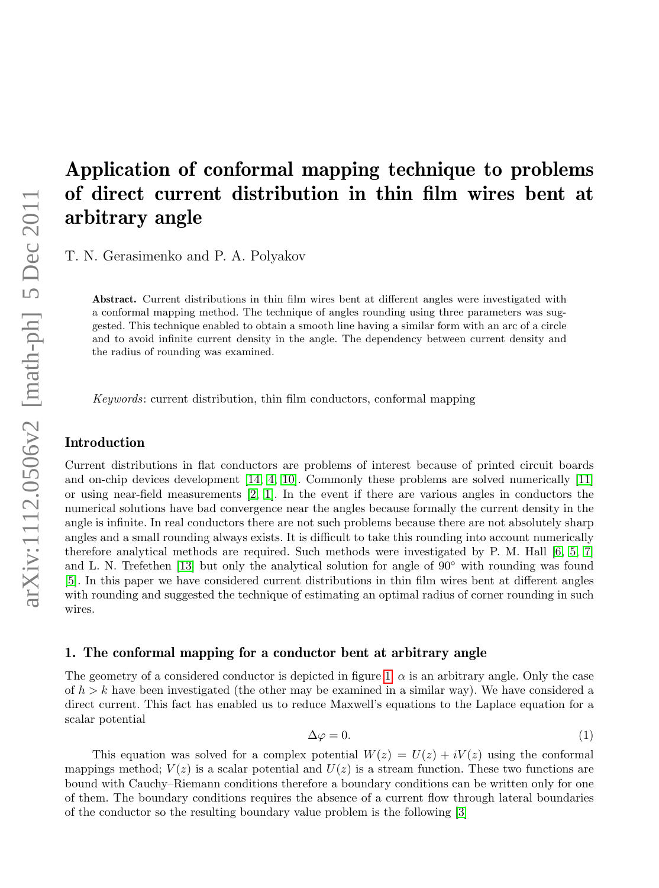# Application of conformal mapping technique to problems of direct current distribution in thin film wires bent at arbitrary angle

T. N. Gerasimenko and P. A. Polyakov

Abstract. Current distributions in thin film wires bent at different angles were investigated with a conformal mapping method. The technique of angles rounding using three parameters was suggested. This technique enabled to obtain a smooth line having a similar form with an arc of a circle and to avoid infinite current density in the angle. The dependency between current density and the radius of rounding was examined.

Keywords: current distribution, thin film conductors, conformal mapping

#### Introduction

Current distributions in flat conductors are problems of interest because of printed circuit boards and on-chip devices development [\[14,](#page-11-0) [4,](#page-11-1) [10\]](#page-11-2). Commonly these problems are solved numerically [\[11\]](#page-11-3) or using near-field measurements [\[2,](#page-11-4) [1\]](#page-11-5). In the event if there are various angles in conductors the numerical solutions have bad convergence near the angles because formally the current density in the angle is infinite. In real conductors there are not such problems because there are not absolutely sharp angles and a small rounding always exists. It is difficult to take this rounding into account numerically therefore analytical methods are required. Such methods were investigated by P. M. Hall [\[6,](#page-11-6) [5,](#page-11-7) [7\]](#page-11-8) and L. N. Trefethen [\[13\]](#page-11-9) but only the analytical solution for angle of  $90°$  with rounding was found [\[5\]](#page-11-7). In this paper we have considered current distributions in thin film wires bent at different angles with rounding and suggested the technique of estimating an optimal radius of corner rounding in such wires.

## 1. The conformal mapping for a conductor bent at arbitrary angle

The geometry of a considered conductor is depicted in figure [1.](#page-1-0)  $\alpha$  is an arbitrary angle. Only the case of  $h > k$  have been investigated (the other may be examined in a similar way). We have considered a direct current. This fact has enabled us to reduce Maxwell's equations to the Laplace equation for a scalar potential

$$
\Delta \varphi = 0. \tag{1}
$$

This equation was solved for a complex potential  $W(z) = U(z) + iV(z)$  using the conformal mappings method;  $V(z)$  is a scalar potential and  $U(z)$  is a stream function. These two functions are bound with Cauchy–Riemann conditions therefore a boundary conditions can be written only for one of them. The boundary conditions requires the absence of a current flow through lateral boundaries of the conductor so the resulting boundary value problem is the following [\[3\]](#page-11-10)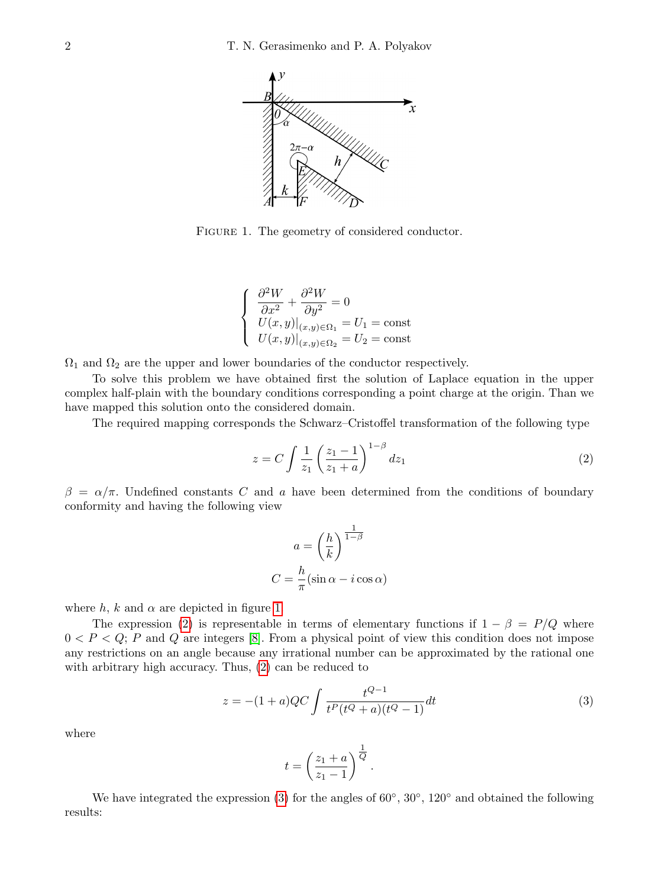

<span id="page-1-0"></span>FIGURE 1. The geometry of considered conductor.

$$
\begin{cases}\n\frac{\partial^2 W}{\partial x^2} + \frac{\partial^2 W}{\partial y^2} = 0\\ \nU(x, y)|_{(x, y) \in \Omega_1} = U_1 = \text{const} \\ \nU(x, y)|_{(x, y) \in \Omega_2} = U_2 = \text{const}\n\end{cases}
$$

 $\Omega_1$  and  $\Omega_2$  are the upper and lower boundaries of the conductor respectively.

To solve this problem we have obtained first the solution of Laplace equation in the upper complex half-plain with the boundary conditions corresponding a point charge at the origin. Than we have mapped this solution onto the considered domain.

The required mapping corresponds the Schwarz–Cristoffel transformation of the following type

<span id="page-1-1"></span>
$$
z = C \int \frac{1}{z_1} \left( \frac{z_1 - 1}{z_1 + a} \right)^{1 - \beta} dz_1
$$
 (2)

 $\beta = \alpha/\pi$ . Undefined constants C and a have been determined from the conditions of boundary conformity and having the following view

$$
a = \left(\frac{h}{k}\right)^{\frac{1}{1-\beta}}
$$

$$
C = \frac{h}{\pi} (\sin \alpha - i \cos \alpha)
$$

where h, k and  $\alpha$  are depicted in figure [1.](#page-1-0)

The expression [\(2\)](#page-1-1) is representable in terms of elementary functions if  $1 - \beta = P/Q$  where  $0 < P < Q$ ; P and Q are integers [\[8\]](#page-11-11). From a physical point of view this condition does not impose any restrictions on an angle because any irrational number can be approximated by the rational one with arbitrary high accuracy. Thus, [\(2\)](#page-1-1) can be reduced to

<span id="page-1-2"></span>
$$
z = -(1+a)QC \int \frac{t^{Q-1}}{t^P(t^Q+a)(t^Q-1)} dt
$$
\n(3)

where

$$
t = \left(\frac{z_1 + a}{z_1 - 1}\right)^{\frac{1}{Q}}.
$$

We have integrated the expression [\(3\)](#page-1-2) for the angles of  $60^{\circ}$ ,  $30^{\circ}$ ,  $120^{\circ}$  and obtained the following results: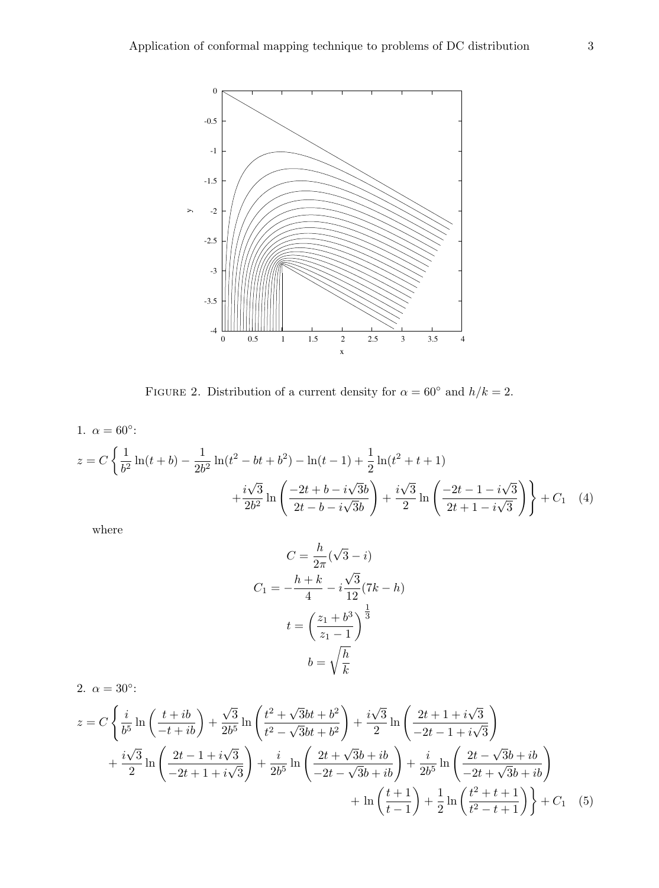

<span id="page-2-0"></span>FIGURE 2. Distribution of a current density for  $\alpha = 60^{\circ}$  and  $h/k = 2$ .

1.  $\alpha = 60^{\circ}$ :

$$
z = C \left\{ \frac{1}{b^2} \ln(t+b) - \frac{1}{2b^2} \ln(t^2 - bt + b^2) - \ln(t-1) + \frac{1}{2} \ln(t^2 + t + 1) + \frac{i\sqrt{3}}{2b^2} \ln\left(\frac{-2t + b - i\sqrt{3}b}{2t - b - i\sqrt{3}b}\right) + \frac{i\sqrt{3}}{2} \ln\left(\frac{-2t - 1 - i\sqrt{3}}{2t + 1 - i\sqrt{3}}\right) \right\} + C_1 \quad (4)
$$

where

<span id="page-2-1"></span>
$$
C = \frac{h}{2\pi}(\sqrt{3} - i)
$$

$$
C_1 = -\frac{h+k}{4} - i\frac{\sqrt{3}}{12}(7k - h)
$$

$$
t = \left(\frac{z_1 + b^3}{z_1 - 1}\right)^{\frac{1}{3}}
$$

$$
b = \sqrt{\frac{h}{k}}
$$

2.  $\alpha = 30^{\circ}$ :  $z = C$  $\int i$  $\frac{i}{b^5}\ln\left(\frac{t+ib}{-t+ib}\right)+$ √ 3  $\frac{\sqrt{3}}{2b^5} \ln \left( \frac{t^2 + \sqrt{3}}{t^2 - \sqrt{3}} \right)$  $\overline{3}bt+b^2$  $\frac{c}{t^2-\sqrt{2}}$  $\overline{3}bt+b^2$  $\setminus$  $+\frac{i}{2}$ √ 3  $\frac{\sqrt{3}}{2}\ln\left(\frac{2t+1+i}{-2t-1+i}\right)$ √ 3  $-2t-1+i$  $\frac{v}{v}$ 3  $\setminus$  $+\frac{i}{2}$ √ 3  $\frac{\sqrt{3}}{2}\ln\left(\frac{2t-1+i}{-2t+1+i}\right)$ √ 3  $-2t + 1 + i$  $\frac{v}{\sqrt{2}}$ 3  $\setminus$  $+\frac{i}{2}$  $\frac{i}{2b^5}\ln\Bigg(\frac{2t+}{-2t-}$ √  $3b + ib$  $-2t \frac{v}{\sqrt{2}}$  $\left(\frac{\bar{b}b + ib}{3b + ib}\right) + \frac{i}{2b}$  $\frac{i}{2b^5}\ln\Bigg(\frac{2t-}{-2t-}$ √  $3b + ib$  $-2t +$  $\frac{v}{\sqrt{2}}$  $\left(\frac{\overline{3}b + ib}{3b + ib}\right)$  $+\ln\left(\frac{t+1}{t-1}\right)$  $t-1$  $+ \frac{1}{2}$  $\frac{1}{2} \ln \left( \frac{t^2 + t + 1}{t^2 - t + 1} \right)$  $\left\{\frac{t^2+t+1}{t^2-t+1}\right\}$  +  $C_1$  (5)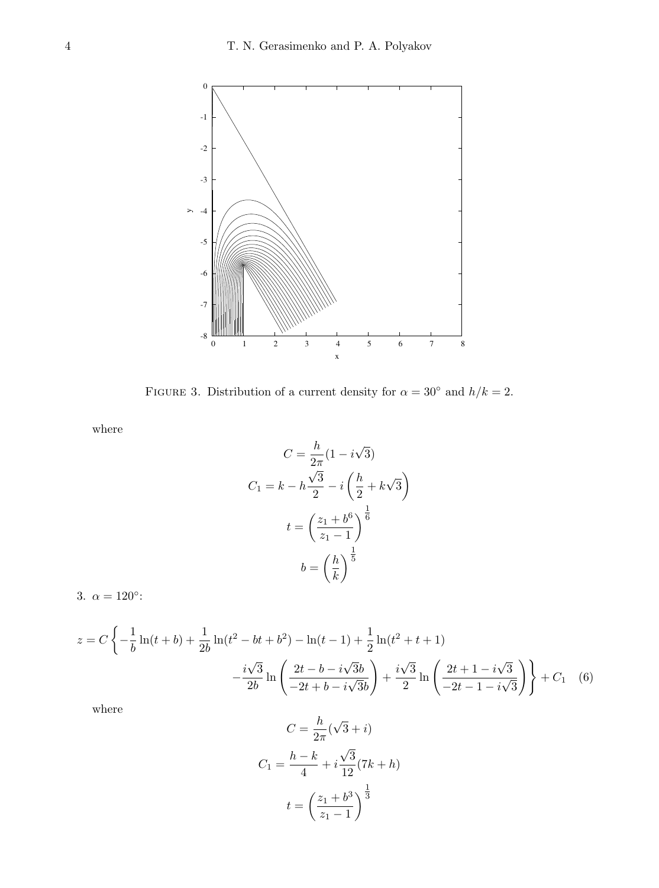

<span id="page-3-1"></span>FIGURE 3. Distribution of a current density for  $\alpha = 30^{\circ}$  and  $h/k = 2$ .

where

$$
C = \frac{h}{2\pi} (1 - i\sqrt{3})
$$
  
\n
$$
C_1 = k - h\frac{\sqrt{3}}{2} - i\left(\frac{h}{2} + k\sqrt{3}\right)
$$
  
\n
$$
t = \left(\frac{z_1 + b^6}{z_1 - 1}\right)^{\frac{1}{6}}
$$
  
\n
$$
b = \left(\frac{h}{k}\right)^{\frac{1}{5}}
$$

3.  $\alpha = 120^{\circ}$ :

$$
z = C \left\{ -\frac{1}{b} \ln(t+b) + \frac{1}{2b} \ln(t^2 - bt + b^2) - \ln(t-1) + \frac{1}{2} \ln(t^2 + t + 1) -\frac{i\sqrt{3}}{2b} \ln\left(\frac{2t - b - i\sqrt{3}b}{-2t + b - i\sqrt{3}b}\right) + \frac{i\sqrt{3}}{2} \ln\left(\frac{2t + 1 - i\sqrt{3}}{-2t - 1 - i\sqrt{3}}\right) \right\} + C_1 \quad (6)
$$

where

<span id="page-3-0"></span>
$$
C = \frac{h}{2\pi}(\sqrt{3} + i)
$$

$$
C_1 = \frac{h - k}{4} + i\frac{\sqrt{3}}{12}(7k + h)
$$

$$
t = \left(\frac{z_1 + b^3}{z_1 - 1}\right)^{\frac{1}{3}}
$$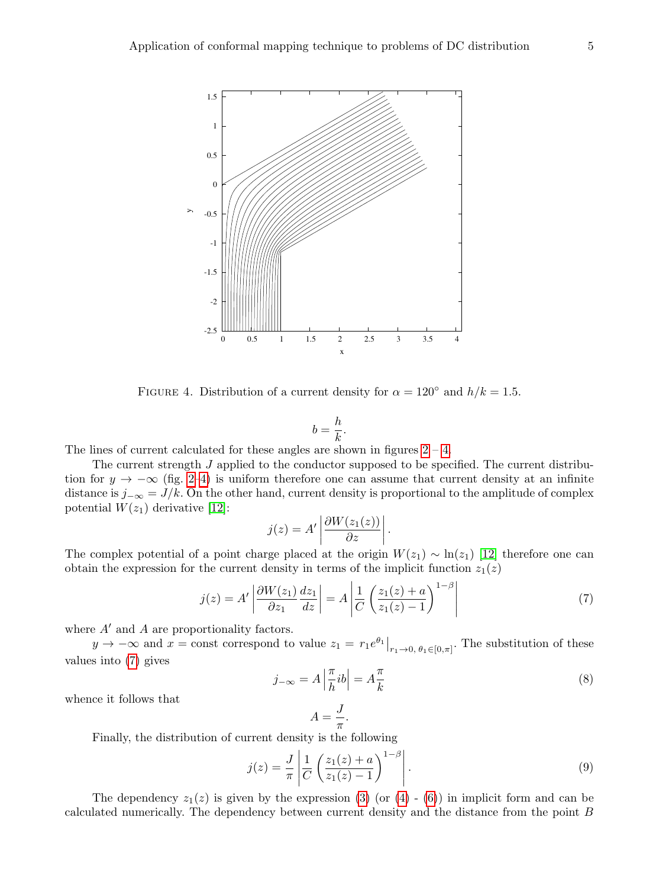

<span id="page-4-0"></span>FIGURE 4. Distribution of a current density for  $\alpha = 120^{\circ}$  and  $h/k = 1.5$ .

$$
b=\frac{h}{k}.
$$

The lines of current calculated for these angles are shown in figures  $2 - 4$ .

The current strength J applied to the conductor supposed to be specified. The current distribution for  $y \to -\infty$  (fig. [2](#page-2-0)[–4\)](#page-4-0) is uniform therefore one can assume that current density at an infinite distance is  $j_{-\infty} = J/k$ . On the other hand, current density is proportional to the amplitude of complex potential  $W(z_1)$  derivative [\[12\]](#page-11-12):

$$
j(z) = A' \left| \frac{\partial W(z_1(z))}{\partial z} \right|.
$$

The complex potential of a point charge placed at the origin  $W(z_1) \sim \ln(z_1)$  [\[12\]](#page-11-12) therefore one can obtain the expression for the current density in terms of the implicit function  $z_1(z)$ 

<span id="page-4-1"></span>
$$
j(z) = A' \left| \frac{\partial W(z_1)}{\partial z_1} \frac{dz_1}{dz} \right| = A \left| \frac{1}{C} \left( \frac{z_1(z) + a}{z_1(z) - 1} \right)^{1 - \beta} \right| \tag{7}
$$

where  $A'$  and  $A$  are proportionality factors.

 $y \to -\infty$  and  $x = \text{const}$  correspond to value  $z_1 = r_1 e^{\theta_1}|_{r_1 \to 0, \theta_1 \in [0, \pi]}$ . The substitution of these values into [\(7\)](#page-4-1) gives

<span id="page-4-3"></span>
$$
j_{-\infty} = A \left| \frac{\pi}{h} ib \right| = A \frac{\pi}{k}
$$
 (8)

whence it follows that

$$
A = \frac{J}{\pi}.
$$

Finally, the distribution of current density is the following

<span id="page-4-2"></span>
$$
j(z) = \frac{J}{\pi} \left| \frac{1}{C} \left( \frac{z_1(z) + a}{z_1(z) - 1} \right)^{1 - \beta} \right|.
$$
 (9)

The dependency  $z_1(z)$  is given by the expression [\(3\)](#page-1-2) (or [\(4\)](#page-2-1) - [\(6\)](#page-3-0)) in implicit form and can be calculated numerically. The dependency between current density and the distance from the point B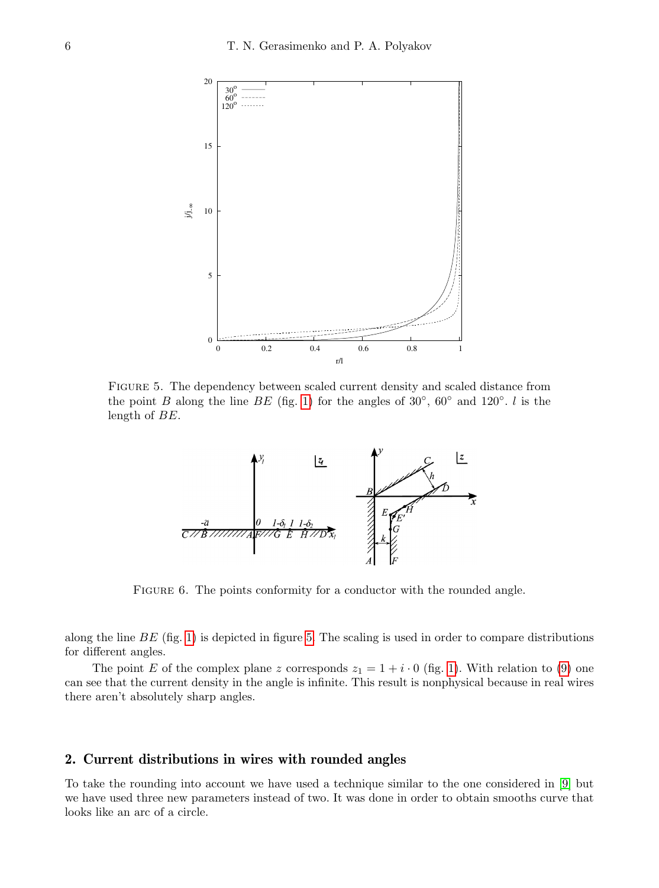

<span id="page-5-0"></span>Figure 5. The dependency between scaled current density and scaled distance from the point B along the line BE (fig. [1\)](#page-1-0) for the angles of  $30^{\circ}$ ,  $60^{\circ}$  and  $120^{\circ}$ . l is the length of BE.



<span id="page-5-1"></span>FIGURE 6. The points conformity for a conductor with the rounded angle.

along the line  $BE$  (fig. [1\)](#page-1-0) is depicted in figure [5.](#page-5-0) The scaling is used in order to compare distributions for different angles.

The point E of the complex plane z corresponds  $z_1 = 1 + i \cdot 0$  (fig. [1\)](#page-1-0). With relation to [\(9\)](#page-4-2) one can see that the current density in the angle is infinite. This result is nonphysical because in real wires there aren't absolutely sharp angles.

# 2. Current distributions in wires with rounded angles

To take the rounding into account we have used a technique similar to the one considered in [\[9\]](#page-11-13) but we have used three new parameters instead of two. It was done in order to obtain smooths curve that looks like an arc of a circle.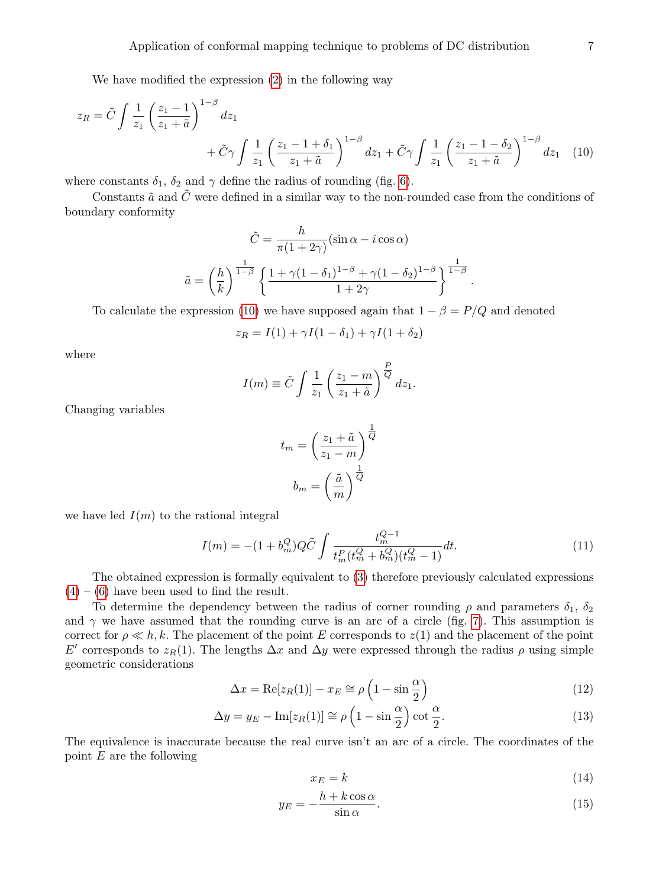We have modified the expression [\(2\)](#page-1-1) in the following way

$$
z_R = \tilde{C} \int \frac{1}{z_1} \left( \frac{z_1 - 1}{z_1 + \tilde{a}} \right)^{1 - \beta} dz_1 + \tilde{C} \gamma \int \frac{1}{z_1} \left( \frac{z_1 - 1 + \delta_1}{z_1 + \tilde{a}} \right)^{1 - \beta} dz_1 + \tilde{C} \gamma \int \frac{1}{z_1} \left( \frac{z_1 - 1 - \delta_2}{z_1 + \tilde{a}} \right)^{1 - \beta} dz_1 \tag{10}
$$

where constants  $\delta_1$ ,  $\delta_2$  and  $\gamma$  define the radius of rounding (fig. [6\)](#page-5-1).

Constants  $\tilde{a}$  and  $\tilde{C}$  were defined in a similar way to the non-rounded case from the conditions of boundary conformity

$$
\tilde{C} = \frac{h}{\pi (1 + 2\gamma)} (\sin \alpha - i \cos \alpha)
$$

$$
\tilde{a} = \left(\frac{h}{k}\right)^{\frac{1}{1-\beta}} \left\{ \frac{1 + \gamma (1 - \delta_1)^{1-\beta} + \gamma (1 - \delta_2)^{1-\beta}}{1 + 2\gamma} \right\}^{\frac{1}{1-\beta}}.
$$

To calculate the expression [\(10\)](#page-6-0) we have supposed again that  $1 - \beta = P/Q$  and denoted

<span id="page-6-0"></span>
$$
z_R = I(1) + \gamma I(1 - \delta_1) + \gamma I(1 + \delta_2)
$$

where

$$
I(m) \equiv \tilde{C} \int \frac{1}{z_1} \left( \frac{z_1 - m}{z_1 + \tilde{a}} \right)^{\frac{P}{Q}} dz_1.
$$

Changing variables

$$
t_m = \left(\frac{z_1 + \tilde{a}}{z_1 - m}\right)^{\frac{1}{Q}}
$$

$$
b_m = \left(\frac{\tilde{a}}{m}\right)^{\frac{1}{Q}}
$$

we have led  $I(m)$  to the rational integral

$$
I(m) = -(1 + b_m^Q)Q\tilde{C} \int \frac{t_m^{Q-1}}{t_m^P(t_m^Q + b_m^Q)(t_m^Q - 1)} dt.
$$
 (11)

The obtained expression is formally equivalent to [\(3\)](#page-1-2) therefore previously calculated expressions  $(4) - (6)$  $(4) - (6)$  $(4) - (6)$  have been used to find the result.

To determine the dependency between the radius of corner rounding  $\rho$  and parameters  $\delta_1$ ,  $\delta_2$ and  $\gamma$  we have assumed that the rounding curve is an arc of a circle (fig. [7\)](#page-7-0). This assumption is correct for  $\rho \ll h, k$ . The placement of the point E corresponds to  $z(1)$  and the placement of the point E' corresponds to  $z_R(1)$ . The lengths  $\Delta x$  and  $\Delta y$  were expressed through the radius  $\rho$  using simple geometric considerations

$$
\Delta x = \text{Re}[z_R(1)] - x_E \cong \rho \left(1 - \sin \frac{\alpha}{2}\right) \tag{12}
$$

$$
\Delta y = y_E - \text{Im}[z_R(1)] \cong \rho \left(1 - \sin \frac{\alpha}{2}\right) \cot \frac{\alpha}{2}.\tag{13}
$$

The equivalence is inaccurate because the real curve isn't an arc of a circle. The coordinates of the point  $E$  are the following

<span id="page-6-2"></span><span id="page-6-1"></span>
$$
x_E = k \tag{14}
$$

$$
y_E = -\frac{h + k\cos\alpha}{\sin\alpha}.\tag{15}
$$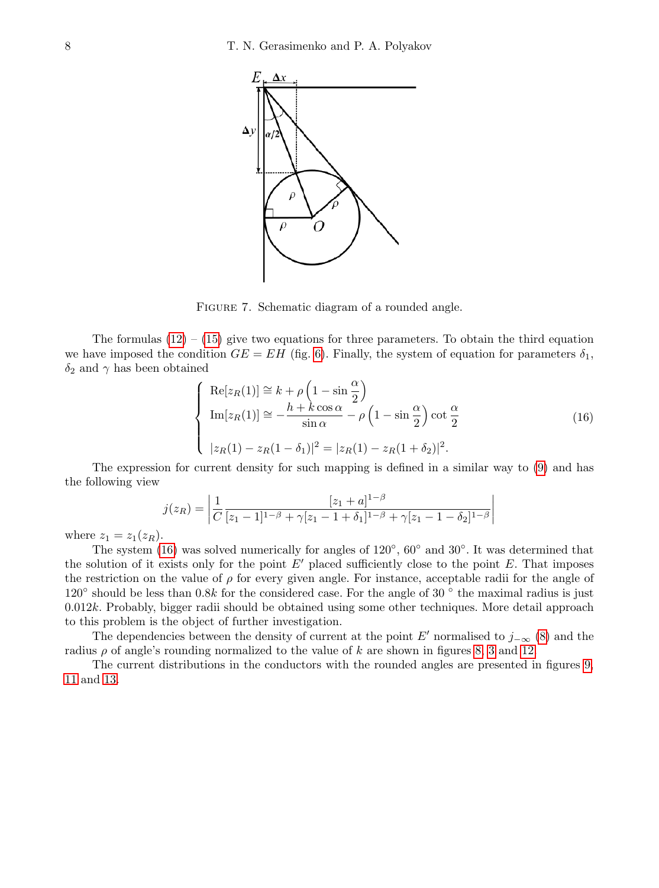

<span id="page-7-0"></span>FIGURE 7. Schematic diagram of a rounded angle.

The formulas  $(12) - (15)$  $(12) - (15)$  $(12) - (15)$  give two equations for three parameters. To obtain the third equation we have imposed the condition  $GE = EH$  (fig. [6\)](#page-5-1). Finally, the system of equation for parameters  $\delta_1$ ,  $\delta_2$  and  $\gamma$  has been obtained

<span id="page-7-1"></span>
$$
\begin{cases}\n\operatorname{Re}[z_R(1)] \cong k + \rho \left(1 - \sin \frac{\alpha}{2}\right) \\
\operatorname{Im}[z_R(1)] \cong -\frac{h + k \cos \alpha}{\sin \alpha} - \rho \left(1 - \sin \frac{\alpha}{2}\right) \cot \frac{\alpha}{2} \\
|z_R(1) - z_R(1 - \delta_1)|^2 = |z_R(1) - z_R(1 + \delta_2)|^2.\n\end{cases}
$$
\n(16)

The expression for current density for such mapping is defined in a similar way to [\(9\)](#page-4-2) and has the following view

$$
j(z_R) = \left| \frac{1}{C} \frac{[z_1 + a]^{1-\beta}}{[z_1 - 1]^{1-\beta} + \gamma [z_1 - 1 + \delta_1]^{1-\beta} + \gamma [z_1 - 1 - \delta_2]^{1-\beta}} \right|
$$

where  $z_1 = z_1(z_R)$ .

The system [\(16\)](#page-7-1) was solved numerically for angles of 120<sup>°</sup>, 60<sup>°</sup> and 30<sup>°</sup>. It was determined that the solution of it exists only for the point  $E'$  placed sufficiently close to the point E. That imposes the restriction on the value of  $\rho$  for every given angle. For instance, acceptable radii for the angle of  $120^\circ$  should be less than 0.8k for the considered case. For the angle of 30 $^\circ$  the maximal radius is just  $0.012k$ . Probably, bigger radii should be obtained using some other techniques. More detail approach to this problem is the object of further investigation.

The dependencies between the density of current at the point E' normalised to  $j_{-\infty}$  [\(8\)](#page-4-3) and the radius  $\rho$  of angle's rounding normalized to the value of k are shown in figures [8,](#page-8-0) [3](#page-3-1) and [12.](#page-10-0)

The current distributions in the conductors with the rounded angles are presented in figures [9,](#page-8-1) [11](#page-9-0) and [13.](#page-10-1)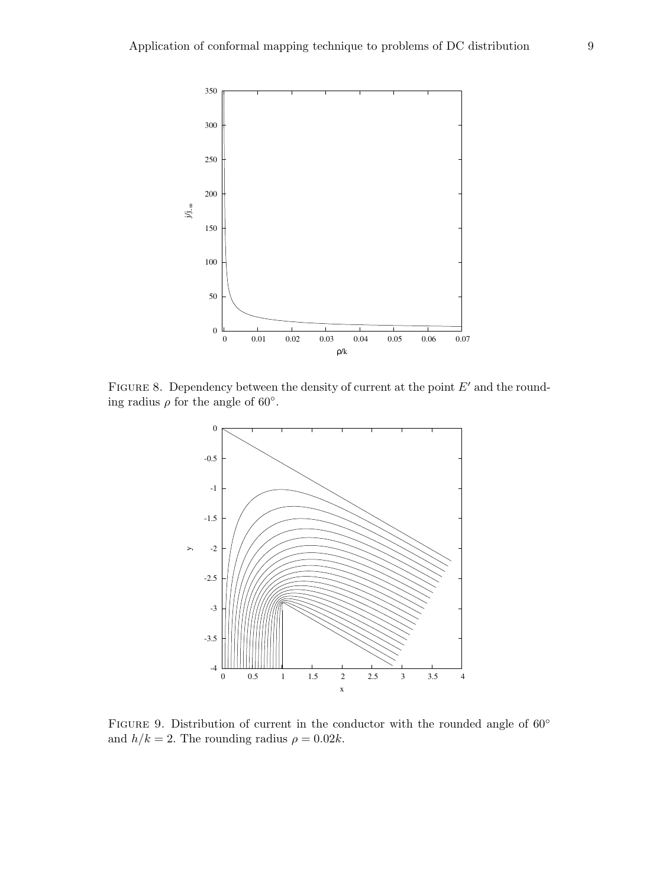

FIGURE 8. Dependency between the density of current at the point  $E'$  and the rounding radius  $\rho$  for the angle of 60°.

<span id="page-8-0"></span>

<span id="page-8-1"></span>FIGURE 9. Distribution of current in the conductor with the rounded angle of  $60°$ and  $h/k = 2$ . The rounding radius  $\rho = 0.02k$ .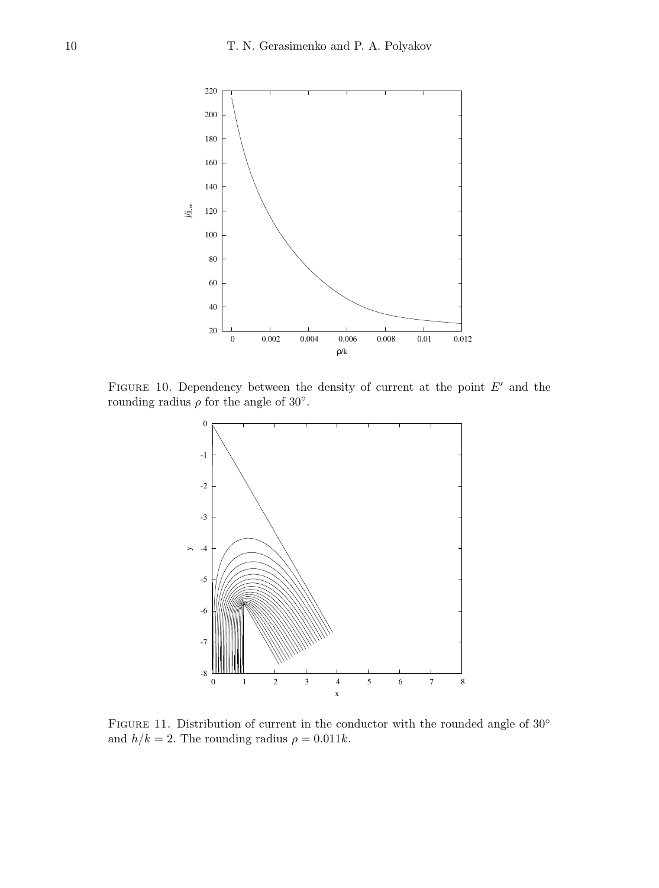

FIGURE 10. Dependency between the density of current at the point  $E'$  and the rounding radius  $\rho$  for the angle of 30°.



<span id="page-9-0"></span>FIGURE 11. Distribution of current in the conductor with the rounded angle of 30° and  $h/k = 2$ . The rounding radius  $\rho = 0.011k$ .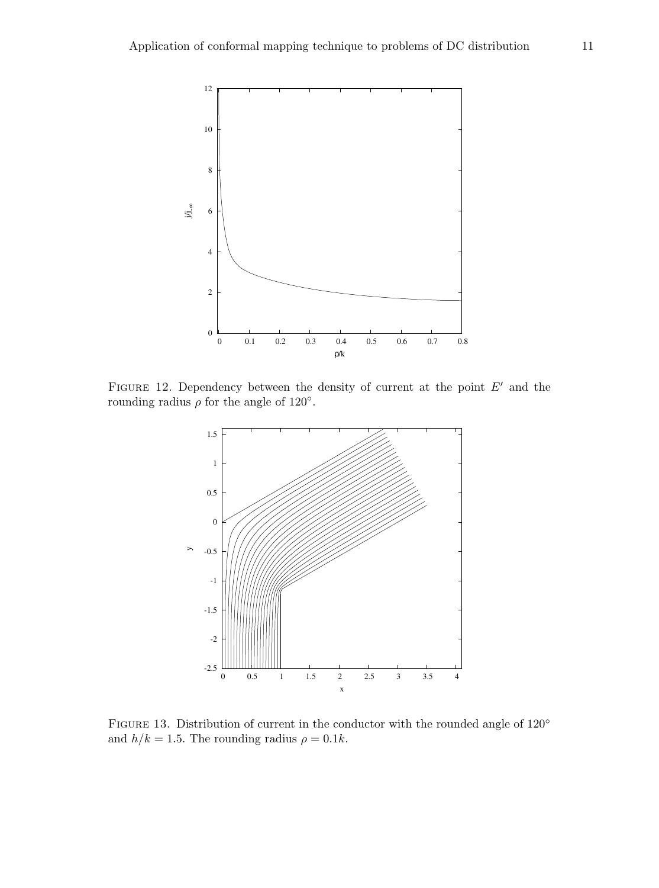

FIGURE 12. Dependency between the density of current at the point  $E'$  and the rounding radius  $\rho$  for the angle of 120°.

<span id="page-10-0"></span>

<span id="page-10-1"></span>FIGURE 13. Distribution of current in the conductor with the rounded angle of 120<sup>°</sup> and  $h/k = 1.5$ . The rounding radius  $\rho = 0.1k$ .